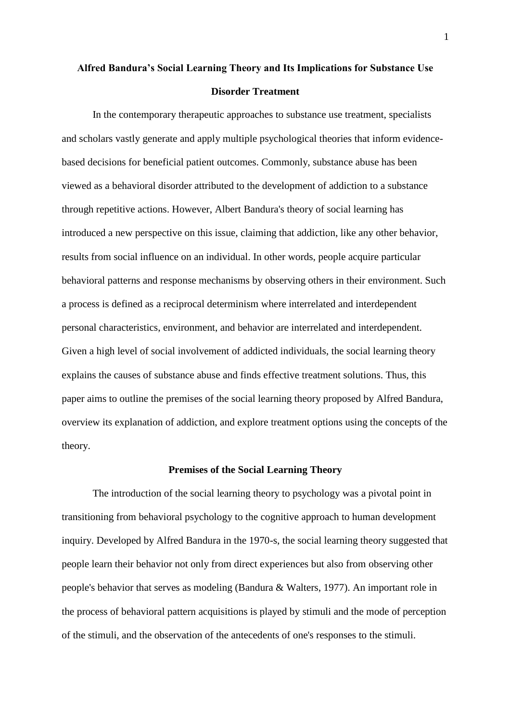# **Alfred Bandura's Social Learning Theory and Its Implications for Substance Use Disorder Treatment**

In the contemporary therapeutic approaches to substance use treatment, specialists and scholars vastly generate and apply multiple psychological theories that inform evidencebased decisions for beneficial patient outcomes. Commonly, substance abuse has been viewed as a behavioral disorder attributed to the development of addiction to a substance through repetitive actions. However, Albert Bandura's theory of social learning has introduced a new perspective on this issue, claiming that addiction, like any other behavior, results from social influence on an individual. In other words, people acquire particular behavioral patterns and response mechanisms by observing others in their environment. Such a process is defined as a reciprocal determinism where interrelated and interdependent personal characteristics, environment, and behavior are interrelated and interdependent. Given a high level of social involvement of addicted individuals, the social learning theory explains the causes of substance abuse and finds effective treatment solutions. Thus, this paper aims to outline the premises of the social learning theory proposed by Alfred Bandura, overview its explanation of addiction, and explore treatment options using the concepts of the theory.

#### **Premises of the Social Learning Theory**

The introduction of the social learning theory to psychology was a pivotal point in transitioning from behavioral psychology to the cognitive approach to human development inquiry. Developed by Alfred Bandura in the 1970-s, the social learning theory suggested that people learn their behavior not only from direct experiences but also from observing other people's behavior that serves as modeling (Bandura & Walters, 1977). An important role in the process of behavioral pattern acquisitions is played by stimuli and the mode of perception of the stimuli, and the observation of the antecedents of one's responses to the stimuli.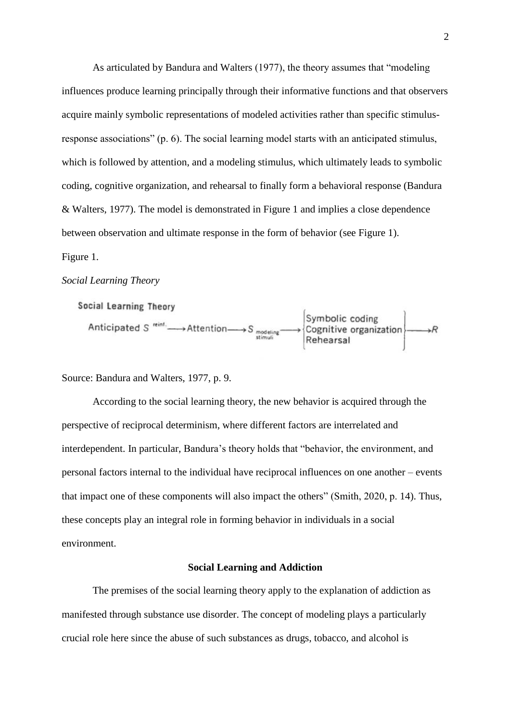As articulated by Bandura and Walters (1977), the theory assumes that "modeling influences produce learning principally through their informative functions and that observers acquire mainly symbolic representations of modeled activities rather than specific stimulusresponse associations" (p. 6). The social learning model starts with an anticipated stimulus, which is followed by attention, and a modeling stimulus, which ultimately leads to symbolic coding, cognitive organization, and rehearsal to finally form a behavioral response (Bandura & Walters, 1977). The model is demonstrated in Figure 1 and implies a close dependence between observation and ultimate response in the form of behavior (see Figure 1). Figure 1.

#### *Social Learning Theory*

Social Learning Theory

Anticipated S "int. Attention  $\longrightarrow$  S  $\underset{\text{stimuli}}{\text{Symbolic coding}}$  examined S  $\longrightarrow$  Rehearsal

Source: Bandura and Walters, 1977, p. 9.

According to the social learning theory, the new behavior is acquired through the perspective of reciprocal determinism, where different factors are interrelated and interdependent. In particular, Bandura's theory holds that "behavior, the environment, and personal factors internal to the individual have reciprocal influences on one another – events that impact one of these components will also impact the others" (Smith, 2020, p. 14). Thus, these concepts play an integral role in forming behavior in individuals in a social environment.

# **Social Learning and Addiction**

The premises of the social learning theory apply to the explanation of addiction as manifested through substance use disorder. The concept of modeling plays a particularly crucial role here since the abuse of such substances as drugs, tobacco, and alcohol is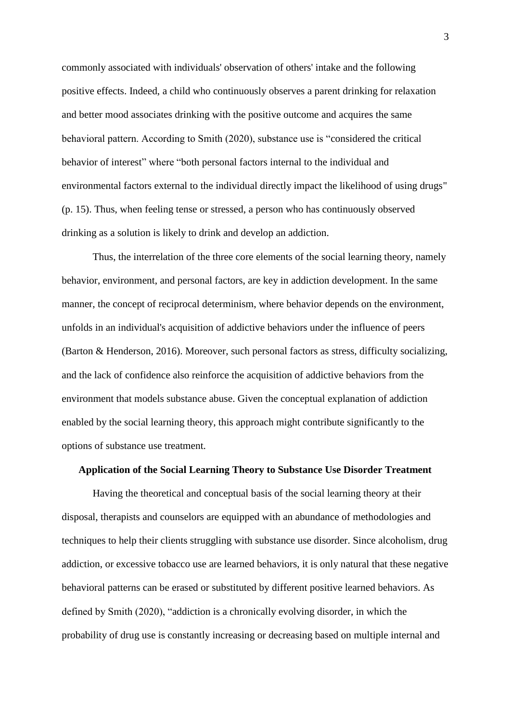commonly associated with individuals' observation of others' intake and the following positive effects. Indeed, a child who continuously observes a parent drinking for relaxation and better mood associates drinking with the positive outcome and acquires the same behavioral pattern. According to Smith (2020), substance use is "considered the critical behavior of interest" where "both personal factors internal to the individual and environmental factors external to the individual directly impact the likelihood of using drugs" (p. 15). Thus, when feeling tense or stressed, a person who has continuously observed drinking as a solution is likely to drink and develop an addiction.

Thus, the interrelation of the three core elements of the social learning theory, namely behavior, environment, and personal factors, are key in addiction development. In the same manner, the concept of reciprocal determinism, where behavior depends on the environment, unfolds in an individual's acquisition of addictive behaviors under the influence of peers (Barton & Henderson, 2016). Moreover, such personal factors as stress, difficulty socializing, and the lack of confidence also reinforce the acquisition of addictive behaviors from the environment that models substance abuse. Given the conceptual explanation of addiction enabled by the social learning theory, this approach might contribute significantly to the options of substance use treatment.

# **Application of the Social Learning Theory to Substance Use Disorder Treatment**

Having the theoretical and conceptual basis of the social learning theory at their disposal, therapists and counselors are equipped with an abundance of methodologies and techniques to help their clients struggling with substance use disorder. Since alcoholism, drug addiction, or excessive tobacco use are learned behaviors, it is only natural that these negative behavioral patterns can be erased or substituted by different positive learned behaviors. As defined by Smith (2020), "addiction is a chronically evolving disorder, in which the probability of drug use is constantly increasing or decreasing based on multiple internal and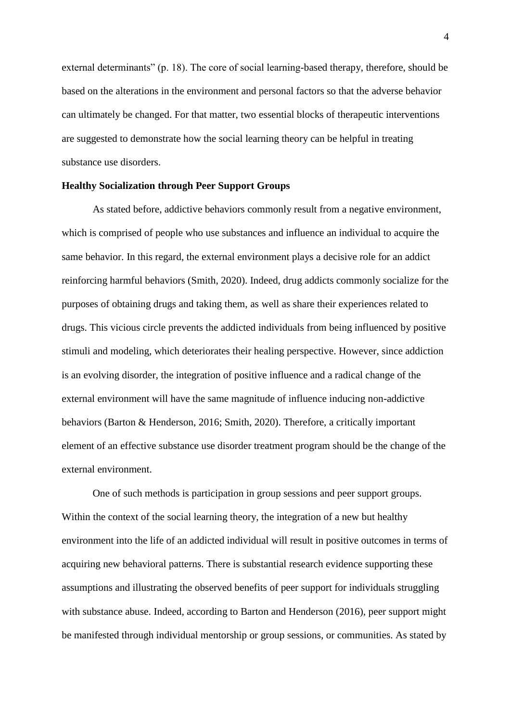external determinants" (p. 18). The core of social learning-based therapy, therefore, should be based on the alterations in the environment and personal factors so that the adverse behavior can ultimately be changed. For that matter, two essential blocks of therapeutic interventions are suggested to demonstrate how the social learning theory can be helpful in treating substance use disorders.

# **Healthy Socialization through Peer Support Groups**

As stated before, addictive behaviors commonly result from a negative environment, which is comprised of people who use substances and influence an individual to acquire the same behavior. In this regard, the external environment plays a decisive role for an addict reinforcing harmful behaviors (Smith, 2020). Indeed, drug addicts commonly socialize for the purposes of obtaining drugs and taking them, as well as share their experiences related to drugs. This vicious circle prevents the addicted individuals from being influenced by positive stimuli and modeling, which deteriorates their healing perspective. However, since addiction is an evolving disorder, the integration of positive influence and a radical change of the external environment will have the same magnitude of influence inducing non-addictive behaviors (Barton & Henderson, 2016; Smith, 2020). Therefore, a critically important element of an effective substance use disorder treatment program should be the change of the external environment.

One of such methods is participation in group sessions and peer support groups. Within the context of the social learning theory, the integration of a new but healthy environment into the life of an addicted individual will result in positive outcomes in terms of acquiring new behavioral patterns. There is substantial research evidence supporting these assumptions and illustrating the observed benefits of peer support for individuals struggling with substance abuse. Indeed, according to Barton and Henderson (2016), peer support might be manifested through individual mentorship or group sessions, or communities. As stated by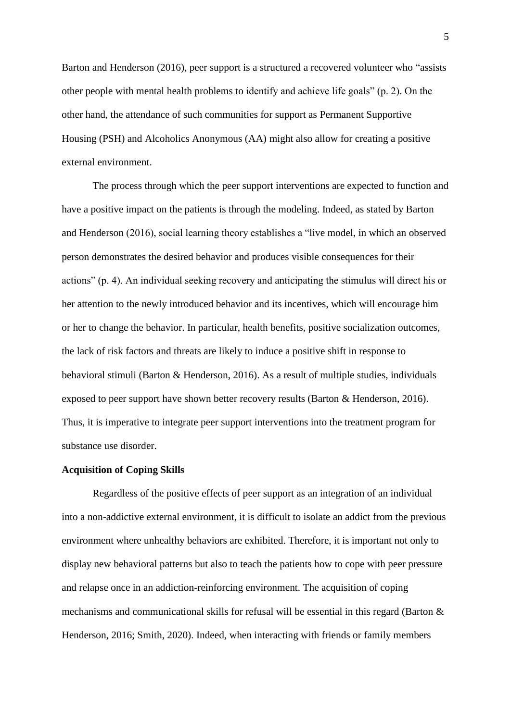Barton and Henderson (2016), peer support is a structured a recovered volunteer who "assists other people with mental health problems to identify and achieve life goals" (p. 2). On the other hand, the attendance of such communities for support as Permanent Supportive Housing (PSH) and Alcoholics Anonymous (AA) might also allow for creating a positive external environment.

The process through which the peer support interventions are expected to function and have a positive impact on the patients is through the modeling. Indeed, as stated by Barton and Henderson (2016), social learning theory establishes a "live model, in which an observed person demonstrates the desired behavior and produces visible consequences for their actions" (p. 4). An individual seeking recovery and anticipating the stimulus will direct his or her attention to the newly introduced behavior and its incentives, which will encourage him or her to change the behavior. In particular, health benefits, positive socialization outcomes, the lack of risk factors and threats are likely to induce a positive shift in response to behavioral stimuli (Barton & Henderson, 2016). As a result of multiple studies, individuals exposed to peer support have shown better recovery results (Barton & Henderson, 2016). Thus, it is imperative to integrate peer support interventions into the treatment program for substance use disorder.

# **Acquisition of Coping Skills**

Regardless of the positive effects of peer support as an integration of an individual into a non-addictive external environment, it is difficult to isolate an addict from the previous environment where unhealthy behaviors are exhibited. Therefore, it is important not only to display new behavioral patterns but also to teach the patients how to cope with peer pressure and relapse once in an addiction-reinforcing environment. The acquisition of coping mechanisms and communicational skills for refusal will be essential in this regard (Barton & Henderson, 2016; Smith, 2020). Indeed, when interacting with friends or family members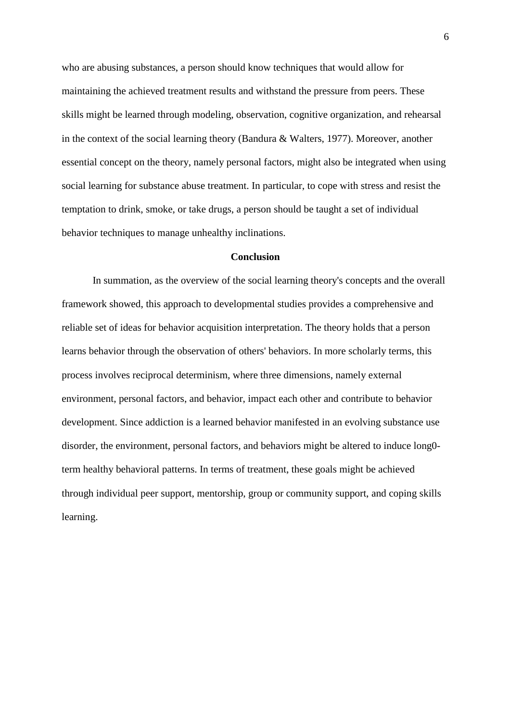who are abusing substances, a person should know techniques that would allow for maintaining the achieved treatment results and withstand the pressure from peers. These skills might be learned through modeling, observation, cognitive organization, and rehearsal in the context of the social learning theory (Bandura & Walters, 1977). Moreover, another essential concept on the theory, namely personal factors, might also be integrated when using social learning for substance abuse treatment. In particular, to cope with stress and resist the temptation to drink, smoke, or take drugs, a person should be taught a set of individual behavior techniques to manage unhealthy inclinations.

## **Conclusion**

In summation, as the overview of the social learning theory's concepts and the overall framework showed, this approach to developmental studies provides a comprehensive and reliable set of ideas for behavior acquisition interpretation. The theory holds that a person learns behavior through the observation of others' behaviors. In more scholarly terms, this process involves reciprocal determinism, where three dimensions, namely external environment, personal factors, and behavior, impact each other and contribute to behavior development. Since addiction is a learned behavior manifested in an evolving substance use disorder, the environment, personal factors, and behaviors might be altered to induce long0 term healthy behavioral patterns. In terms of treatment, these goals might be achieved through individual peer support, mentorship, group or community support, and coping skills learning.